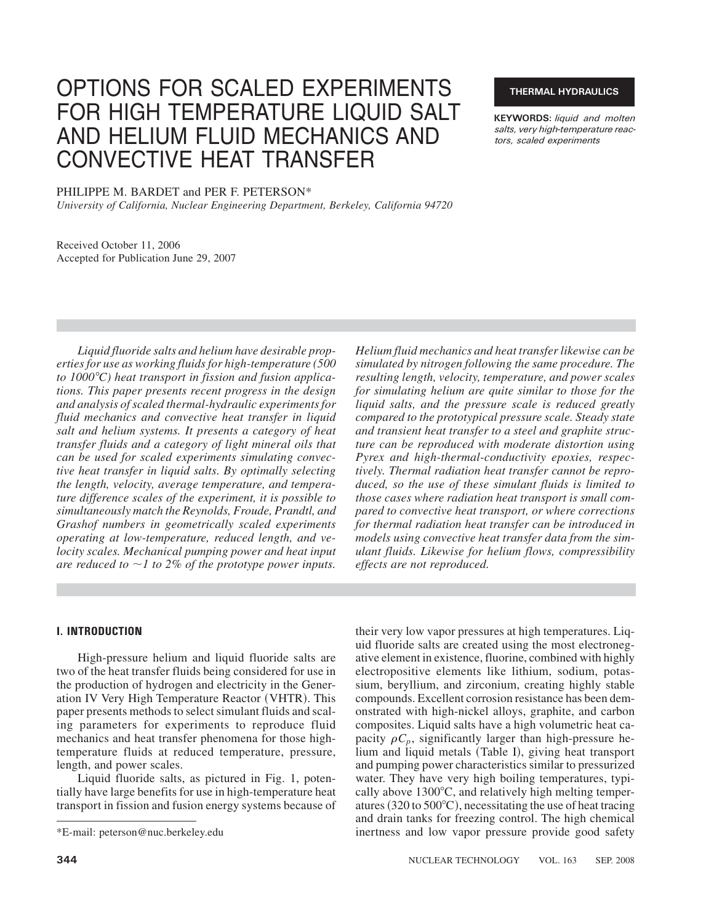# OPTIONS FOR SCALED EXPERIMENTS FOR HIGH TEMPERATURE LIQUID SALT AND HELIUM FLUID MECHANICS AND CONVECTIVE HEAT TRANSFER

# PHILIPPE M. BARDET and PER F. PETERSON\*

*University of California, Nuclear Engineering Department, Berkeley, California 94720*

Received October 11, 2006 Accepted for Publication June 29, 2007

*Liquid fluoride salts and helium have desirable properties for use as working fluids for high-temperature (500 to 1000*8*C) heat transport in fission and fusion applications. This paper presents recent progress in the design and analysis of scaled thermal-hydraulic experiments for fluid mechanics and convective heat transfer in liquid salt and helium systems. It presents a category of heat transfer fluids and a category of light mineral oils that can be used for scaled experiments simulating convective heat transfer in liquid salts. By optimally selecting the length, velocity, average temperature, and temperature difference scales of the experiment, it is possible to simultaneously match the Reynolds, Froude, Prandtl, and Grashof numbers in geometrically scaled experiments operating at low-temperature, reduced length, and velocity scales. Mechanical pumping power and heat input are reduced to*  $\sim$ *1 to 2% of the prototype power inputs.* 

## **THERMAL HYDRAULICS**

**KEYWORDS:** *liquid and molten salts, very high-temperature reactors, scaled experiments*

*Helium fluid mechanics and heat transfer likewise can be simulated by nitrogen following the same procedure. The resulting length, velocity, temperature, and power scales for simulating helium are quite similar to those for the liquid salts, and the pressure scale is reduced greatly compared to the prototypical pressure scale. Steady state and transient heat transfer to a steel and graphite structure can be reproduced with moderate distortion using Pyrex and high-thermal-conductivity epoxies, respectively. Thermal radiation heat transfer cannot be reproduced, so the use of these simulant fluids is limited to those cases where radiation heat transport is small compared to convective heat transport, or where corrections for thermal radiation heat transfer can be introduced in models using convective heat transfer data from the simulant fluids. Likewise for helium flows, compressibility effects are not reproduced.*

# **I. INTRODUCTION**

High-pressure helium and liquid fluoride salts are two of the heat transfer fluids being considered for use in the production of hydrogen and electricity in the Generation IV Very High Temperature Reactor (VHTR). This paper presents methods to select simulant fluids and scaling parameters for experiments to reproduce fluid mechanics and heat transfer phenomena for those hightemperature fluids at reduced temperature, pressure, length, and power scales.

Liquid fluoride salts, as pictured in Fig. 1, potentially have large benefits for use in high-temperature heat transport in fission and fusion energy systems because of

their very low vapor pressures at high temperatures. Liquid fluoride salts are created using the most electronegative element in existence, fluorine, combined with highly electropositive elements like lithium, sodium, potassium, beryllium, and zirconium, creating highly stable compounds. Excellent corrosion resistance has been demonstrated with high-nickel alloys, graphite, and carbon composites. Liquid salts have a high volumetric heat capacity  $\rho C_p$ , significantly larger than high-pressure helium and liquid metals (Table I), giving heat transport and pumping power characteristics similar to pressurized water. They have very high boiling temperatures, typically above  $1300^{\circ}$ C, and relatively high melting temperatures (320 to  $500^{\circ}$ C), necessitating the use of heat tracing and drain tanks for freezing control. The high chemical \*E-mail: peterson@nuc.berkeley.edu inertness and low vapor pressure provide good safety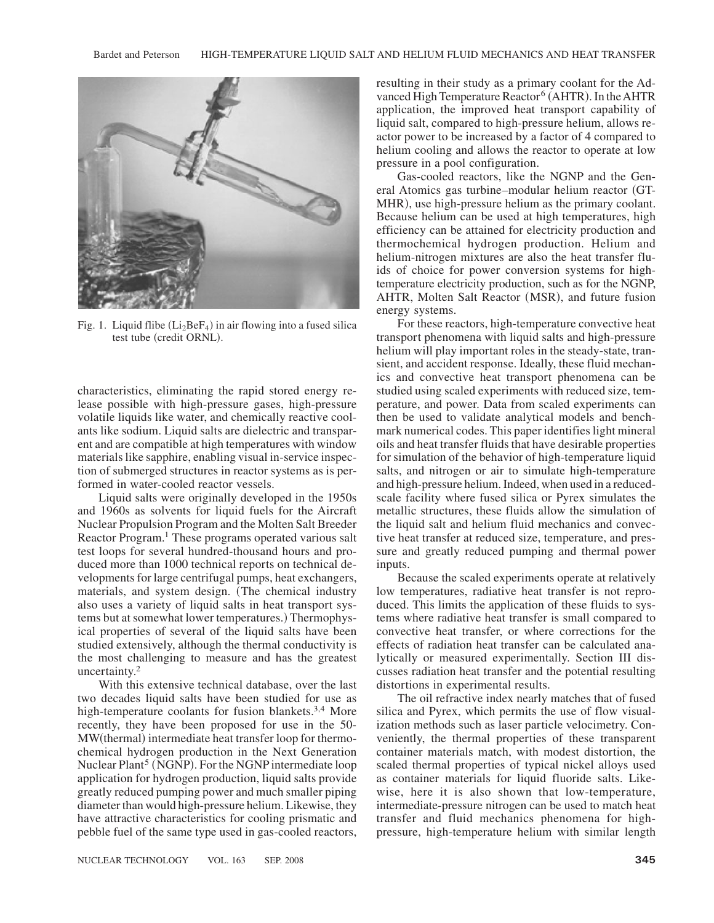

Fig. 1. Liquid flibe  $(Li_2BeF_4)$  in air flowing into a fused silica test tube (credit ORNL).

characteristics, eliminating the rapid stored energy release possible with high-pressure gases, high-pressure volatile liquids like water, and chemically reactive coolants like sodium. Liquid salts are dielectric and transparent and are compatible at high temperatures with window materials like sapphire, enabling visual in-service inspection of submerged structures in reactor systems as is performed in water-cooled reactor vessels.

Liquid salts were originally developed in the 1950s and 1960s as solvents for liquid fuels for the Aircraft Nuclear Propulsion Program and the Molten Salt Breeder Reactor Program.<sup>1</sup> These programs operated various salt test loops for several hundred-thousand hours and produced more than 1000 technical reports on technical developments for large centrifugal pumps, heat exchangers, materials, and system design. (The chemical industry also uses a variety of liquid salts in heat transport systems but at somewhat lower temperatures.) Thermophysical properties of several of the liquid salts have been studied extensively, although the thermal conductivity is the most challenging to measure and has the greatest uncertainty.<sup>2</sup>

With this extensive technical database, over the last two decades liquid salts have been studied for use as high-temperature coolants for fusion blankets.<sup>3,4</sup> More recently, they have been proposed for use in the 50- MW(thermal) intermediate heat transfer loop for thermochemical hydrogen production in the Next Generation Nuclear Plant<sup>5</sup> (NGNP). For the NGNP intermediate loop application for hydrogen production, liquid salts provide greatly reduced pumping power and much smaller piping diameter than would high-pressure helium. Likewise, they have attractive characteristics for cooling prismatic and pebble fuel of the same type used in gas-cooled reactors, resulting in their study as a primary coolant for the Advanced High Temperature Reactor<sup>6</sup> (AHTR). In the AHTR application, the improved heat transport capability of liquid salt, compared to high-pressure helium, allows reactor power to be increased by a factor of 4 compared to helium cooling and allows the reactor to operate at low pressure in a pool configuration.

Gas-cooled reactors, like the NGNP and the General Atomics gas turbine–modular helium reactor (GT-MHR), use high-pressure helium as the primary coolant. Because helium can be used at high temperatures, high efficiency can be attained for electricity production and thermochemical hydrogen production. Helium and helium-nitrogen mixtures are also the heat transfer fluids of choice for power conversion systems for hightemperature electricity production, such as for the NGNP, AHTR, Molten Salt Reactor (MSR), and future fusion energy systems.

For these reactors, high-temperature convective heat transport phenomena with liquid salts and high-pressure helium will play important roles in the steady-state, transient, and accident response. Ideally, these fluid mechanics and convective heat transport phenomena can be studied using scaled experiments with reduced size, temperature, and power. Data from scaled experiments can then be used to validate analytical models and benchmark numerical codes. This paper identifies light mineral oils and heat transfer fluids that have desirable properties for simulation of the behavior of high-temperature liquid salts, and nitrogen or air to simulate high-temperature and high-pressure helium. Indeed, when used in a reducedscale facility where fused silica or Pyrex simulates the metallic structures, these fluids allow the simulation of the liquid salt and helium fluid mechanics and convective heat transfer at reduced size, temperature, and pressure and greatly reduced pumping and thermal power inputs.

Because the scaled experiments operate at relatively low temperatures, radiative heat transfer is not reproduced. This limits the application of these fluids to systems where radiative heat transfer is small compared to convective heat transfer, or where corrections for the effects of radiation heat transfer can be calculated analytically or measured experimentally. Section III discusses radiation heat transfer and the potential resulting distortions in experimental results.

The oil refractive index nearly matches that of fused silica and Pyrex, which permits the use of flow visualization methods such as laser particle velocimetry. Conveniently, the thermal properties of these transparent container materials match, with modest distortion, the scaled thermal properties of typical nickel alloys used as container materials for liquid fluoride salts. Likewise, here it is also shown that low-temperature, intermediate-pressure nitrogen can be used to match heat transfer and fluid mechanics phenomena for highpressure, high-temperature helium with similar length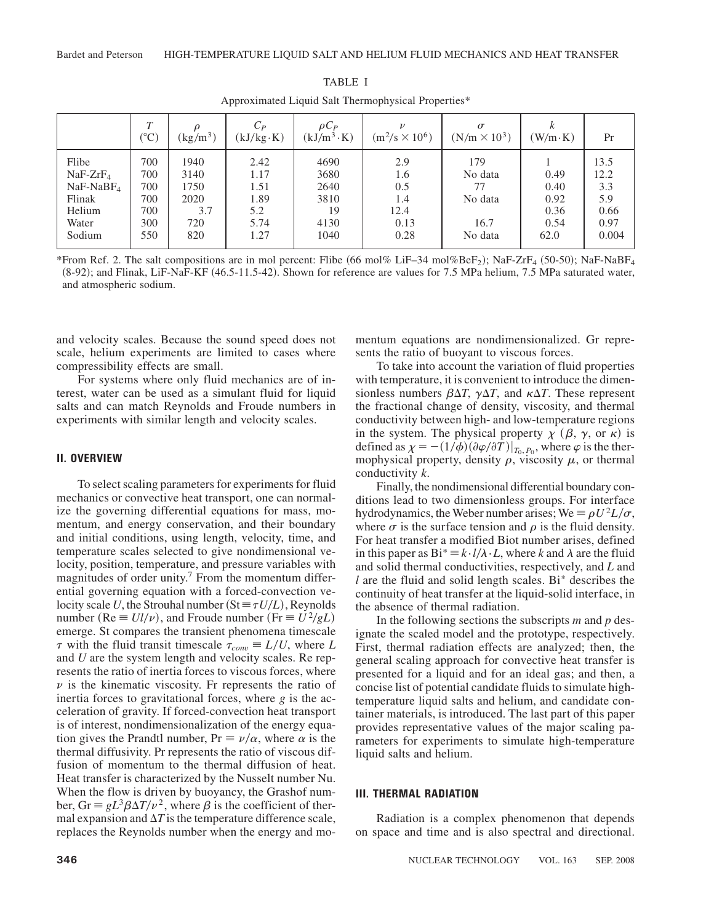|                                                                           | $\bm{\tau}$<br>$({}^\circ\mathrm{C})$         | $\left(\frac{\text{kg}}{\text{m}^3}\right)$       | $C_P$<br>$(kJ/kg \cdot K)$                          | $\rho C_P$<br>$(kJ/m^3 \cdot K)$                   | $\boldsymbol{\nu}$<br>$(m^2/s \times 10^6)$      | $\sigma$<br>$(N/m \times 10^3)$                    | $(W/m \cdot K)$                              | Pr                                                  |
|---------------------------------------------------------------------------|-----------------------------------------------|---------------------------------------------------|-----------------------------------------------------|----------------------------------------------------|--------------------------------------------------|----------------------------------------------------|----------------------------------------------|-----------------------------------------------------|
| Flibe<br>$NaF-ZrF4$<br>$NaF-NaBF4$<br>Flinak<br>Helium<br>Water<br>Sodium | 700<br>700<br>700<br>700<br>700<br>300<br>550 | 1940<br>3140<br>1750<br>2020<br>3.7<br>720<br>820 | 2.42<br>1.17<br>1.51<br>1.89<br>5.2<br>5.74<br>1.27 | 4690<br>3680<br>2640<br>3810<br>19<br>4130<br>1040 | 2.9<br>1.6<br>0.5<br>1.4<br>12.4<br>0.13<br>0.28 | 179<br>No data<br>77<br>No data<br>16.7<br>No data | 0.49<br>0.40<br>0.92<br>0.36<br>0.54<br>62.0 | 13.5<br>12.2<br>3.3<br>5.9<br>0.66<br>0.97<br>0.004 |

TABLE I Approximated Liquid Salt Thermophysical Properties\*

\*From Ref. 2. The salt compositions are in mol percent: Flibe  $(66 \text{ mol\% Lif} -34 \text{ mol\% Bef}_2)$ ; NaF-ZrF<sub>4</sub>  $(50-50)$ ; NaF-NaBF<sub>4</sub>  $(8-92)$ ; and Flinak, LiF-NaF-KF  $(46.5-11.5-42)$ . Shown for reference are values for 7.5 MPa helium, 7.5 MPa saturated water, and atmospheric sodium.

and velocity scales. Because the sound speed does not scale, helium experiments are limited to cases where compressibility effects are small.

For systems where only fluid mechanics are of interest, water can be used as a simulant fluid for liquid salts and can match Reynolds and Froude numbers in experiments with similar length and velocity scales.

## **II. OVERVIEW**

To select scaling parameters for experiments for fluid mechanics or convective heat transport, one can normalize the governing differential equations for mass, momentum, and energy conservation, and their boundary and initial conditions, using length, velocity, time, and temperature scales selected to give nondimensional velocity, position, temperature, and pressure variables with magnitudes of order unity.<sup>7</sup> From the momentum differential governing equation with a forced-convection velocity scale *U*, the Strouhal number ( $St \equiv \tau U/L$ ), Reynolds number (Re  $\equiv Ul/\nu$ ), and Froude number (Fr  $\equiv U^2/gL$ ) emerge. St compares the transient phenomena timescale  $\tau$  with the fluid transit timescale  $\tau_{conv} \equiv L/U$ , where *L* and *U* are the system length and velocity scales. Re represents the ratio of inertia forces to viscous forces, where  $\nu$  is the kinematic viscosity. Fr represents the ratio of inertia forces to gravitational forces, where *g* is the acceleration of gravity. If forced-convection heat transport is of interest, nondimensionalization of the energy equation gives the Prandtl number,  $Pr \equiv \nu/\alpha$ , where  $\alpha$  is the thermal diffusivity. Pr represents the ratio of viscous diffusion of momentum to the thermal diffusion of heat. Heat transfer is characterized by the Nusselt number Nu. When the flow is driven by buoyancy, the Grashof number, Gr  $\equiv gL^3\beta\Delta T/\nu^2$ , where  $\beta$  is the coefficient of thermal expansion and  $\Delta T$  is the temperature difference scale, replaces the Reynolds number when the energy and momentum equations are nondimensionalized. Gr represents the ratio of buoyant to viscous forces.

To take into account the variation of fluid properties with temperature, it is convenient to introduce the dimensionless numbers  $\beta \Delta T$ ,  $\gamma \Delta T$ , and  $\kappa \Delta T$ . These represent the fractional change of density, viscosity, and thermal conductivity between high- and low-temperature regions in the system. The physical property  $\chi$  ( $\beta$ ,  $\gamma$ , or  $\kappa$ ) is defined as  $\chi = -(1/\phi)(\partial \varphi/\partial T)|_{T_0, P_0}$ , where  $\varphi$  is the thermophysical property, density  $\rho$ , viscosity  $\mu$ , or thermal conductivity *k*.

Finally, the nondimensional differential boundary conditions lead to two dimensionless groups. For interface hydrodynamics, the Weber number arises; We  $\equiv \rho U^2 L / \sigma$ , where  $\sigma$  is the surface tension and  $\rho$  is the fluid density. For heat transfer a modified Biot number arises, defined in this paper as  $Bi^* = k \cdot l/\lambda \cdot L$ , where *k* and  $\lambda$  are the fluid and solid thermal conductivities, respectively, and *L* and *l* are the fluid and solid length scales. Bi\* describes the continuity of heat transfer at the liquid-solid interface, in the absence of thermal radiation.

In the following sections the subscripts *m* and *p* designate the scaled model and the prototype, respectively. First, thermal radiation effects are analyzed; then, the general scaling approach for convective heat transfer is presented for a liquid and for an ideal gas; and then, a concise list of potential candidate fluids to simulate hightemperature liquid salts and helium, and candidate container materials, is introduced. The last part of this paper provides representative values of the major scaling parameters for experiments to simulate high-temperature liquid salts and helium.

## **III. THERMAL RADIATION**

Radiation is a complex phenomenon that depends on space and time and is also spectral and directional.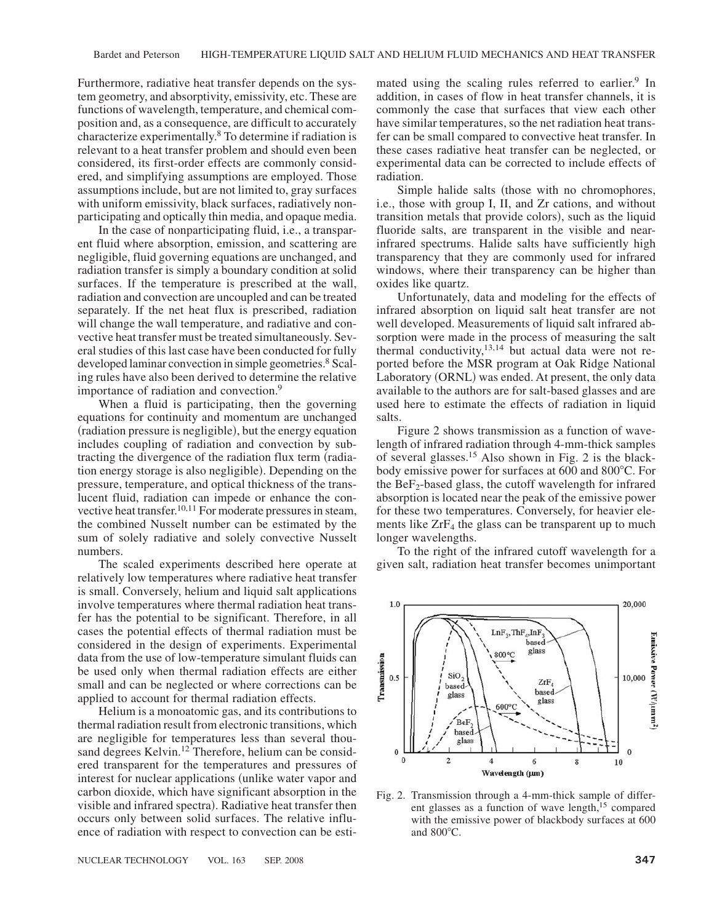Furthermore, radiative heat transfer depends on the system geometry, and absorptivity, emissivity, etc. These are functions of wavelength, temperature, and chemical composition and, as a consequence, are difficult to accurately characterize experimentally.8 To determine if radiation is relevant to a heat transfer problem and should even been considered, its first-order effects are commonly considered, and simplifying assumptions are employed. Those assumptions include, but are not limited to, gray surfaces with uniform emissivity, black surfaces, radiatively nonparticipating and optically thin media, and opaque media.

In the case of nonparticipating fluid, i.e., a transparent fluid where absorption, emission, and scattering are negligible, fluid governing equations are unchanged, and radiation transfer is simply a boundary condition at solid surfaces. If the temperature is prescribed at the wall, radiation and convection are uncoupled and can be treated separately. If the net heat flux is prescribed, radiation will change the wall temperature, and radiative and convective heat transfer must be treated simultaneously. Several studies of this last case have been conducted for fully developed laminar convection in simple geometries.<sup>8</sup> Scaling rules have also been derived to determine the relative importance of radiation and convection.9

When a fluid is participating, then the governing equations for continuity and momentum are unchanged (radiation pressure is negligible), but the energy equation includes coupling of radiation and convection by subtracting the divergence of the radiation flux term (radiation energy storage is also negligible). Depending on the pressure, temperature, and optical thickness of the translucent fluid, radiation can impede or enhance the convective heat transfer.<sup>10,11</sup> For moderate pressures in steam, the combined Nusselt number can be estimated by the sum of solely radiative and solely convective Nusselt numbers.

The scaled experiments described here operate at relatively low temperatures where radiative heat transfer is small. Conversely, helium and liquid salt applications involve temperatures where thermal radiation heat transfer has the potential to be significant. Therefore, in all cases the potential effects of thermal radiation must be considered in the design of experiments. Experimental data from the use of low-temperature simulant fluids can be used only when thermal radiation effects are either small and can be neglected or where corrections can be applied to account for thermal radiation effects.

Helium is a monoatomic gas, and its contributions to thermal radiation result from electronic transitions, which are negligible for temperatures less than several thousand degrees Kelvin.<sup>12</sup> Therefore, helium can be considered transparent for the temperatures and pressures of interest for nuclear applications (unlike water vapor and carbon dioxide, which have significant absorption in the visible and infrared spectra). Radiative heat transfer then occurs only between solid surfaces. The relative influence of radiation with respect to convection can be estimated using the scaling rules referred to earlier.<sup>9</sup> In addition, in cases of flow in heat transfer channels, it is commonly the case that surfaces that view each other have similar temperatures, so the net radiation heat transfer can be small compared to convective heat transfer. In these cases radiative heat transfer can be neglected, or experimental data can be corrected to include effects of radiation.

Simple halide salts (those with no chromophores, i.e., those with group I, II, and Zr cations, and without transition metals that provide colors), such as the liquid fluoride salts, are transparent in the visible and nearinfrared spectrums. Halide salts have sufficiently high transparency that they are commonly used for infrared windows, where their transparency can be higher than oxides like quartz.

Unfortunately, data and modeling for the effects of infrared absorption on liquid salt heat transfer are not well developed. Measurements of liquid salt infrared absorption were made in the process of measuring the salt thermal conductivity,13,14 but actual data were not reported before the MSR program at Oak Ridge National Laboratory (ORNL) was ended. At present, the only data available to the authors are for salt-based glasses and are used here to estimate the effects of radiation in liquid salts.

Figure 2 shows transmission as a function of wavelength of infrared radiation through 4-mm-thick samples of several glasses.15 Also shown in Fig. 2 is the blackbody emissive power for surfaces at  $600$  and  $800^{\circ}$ C. For the  $BeF_2$ -based glass, the cutoff wavelength for infrared absorption is located near the peak of the emissive power for these two temperatures. Conversely, for heavier elements like ZrF<sub>4</sub> the glass can be transparent up to much longer wavelengths.

To the right of the infrared cutoff wavelength for a given salt, radiation heat transfer becomes unimportant



Fig. 2. Transmission through a 4-mm-thick sample of different glasses as a function of wave length, $15$  compared with the emissive power of blackbody surfaces at 600 and  $800^{\circ}$ C.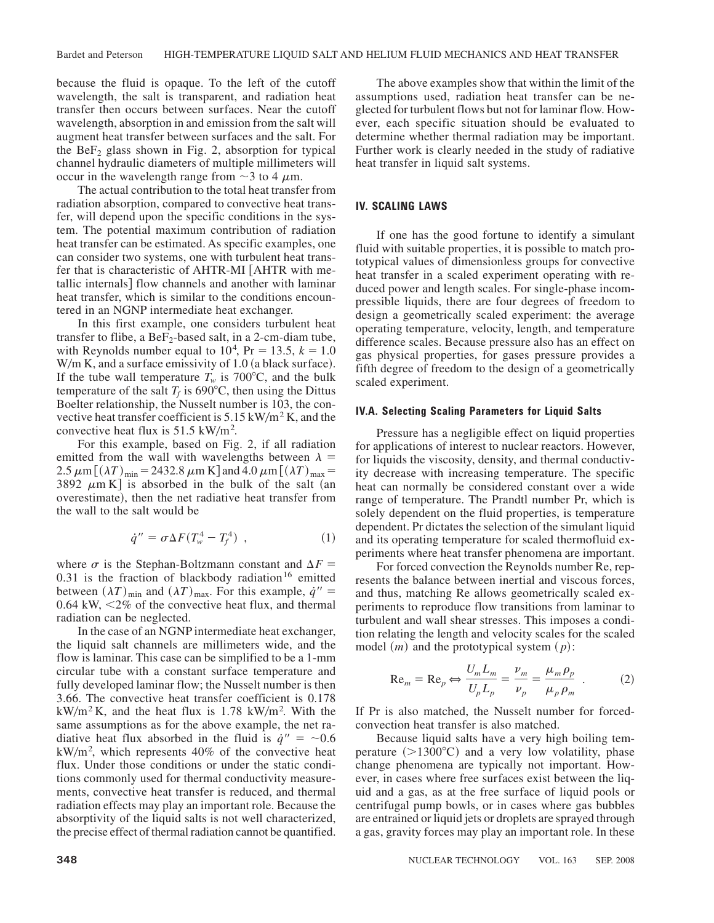because the fluid is opaque. To the left of the cutoff wavelength, the salt is transparent, and radiation heat transfer then occurs between surfaces. Near the cutoff wavelength, absorption in and emission from the salt will augment heat transfer between surfaces and the salt. For the  $BeF_2$  glass shown in Fig. 2, absorption for typical channel hydraulic diameters of multiple millimeters will occur in the wavelength range from  $\sim$ 3 to 4  $\mu$ m.

The actual contribution to the total heat transfer from radiation absorption, compared to convective heat transfer, will depend upon the specific conditions in the system. The potential maximum contribution of radiation heat transfer can be estimated. As specific examples, one can consider two systems, one with turbulent heat transfer that is characteristic of AHTR-MI [AHTR with metallic internals] flow channels and another with laminar heat transfer, which is similar to the conditions encountered in an NGNP intermediate heat exchanger.

In this first example, one considers turbulent heat transfer to flibe, a  $BeF_2$ -based salt, in a 2-cm-diam tube, with Reynolds number equal to  $10^4$ ,  $Pr = 13.5$ ,  $k = 1.0$ W/m K, and a surface emissivity of  $1.0$  (a black surface). If the tube wall temperature  $T_w$  is 700°C, and the bulk temperature of the salt  $T_f$  is 690°C, then using the Dittus Boelter relationship, the Nusselt number is 103, the convective heat transfer coefficient is  $5.15 \text{ kW/m}^2 \text{ K}$ , and the convective heat flux is  $51.5 \text{ kW/m}^2$ .

For this example, based on Fig. 2, if all radiation emitted from the wall with wavelengths between  $\lambda =$  $2.5 \ \mu m \left[ (\lambda T)_{\text{min}}\right] = 2432.8 \ \mu m \text{ K}$  and  $4.0 \ \mu m \left[ (\lambda T)_{\text{max}}\right]$ 3892  $\mu$ m K] is absorbed in the bulk of the salt (an overestimate), then the net radiative heat transfer from the wall to the salt would be

$$
\dot{q}^{"} = \sigma \Delta F (T_w^4 - T_f^4) \tag{1}
$$

where  $\sigma$  is the Stephan-Boltzmann constant and  $\Delta F =$  $0.31$  is the fraction of blackbody radiation<sup>16</sup> emitted between  $(\lambda T)_{\text{min}}$  and  $(\lambda T)_{\text{max}}$ . For this example,  $\dot{q}''$  =  $0.64$  kW,  $\leq$ 2% of the convective heat flux, and thermal radiation can be neglected.

In the case of an NGNP intermediate heat exchanger, the liquid salt channels are millimeters wide, and the flow is laminar. This case can be simplified to be a 1-mm circular tube with a constant surface temperature and fully developed laminar flow; the Nusselt number is then 3.66. The convective heat transfer coefficient is 0.178  $kW/m^2 K$ , and the heat flux is 1.78 kW/m<sup>2</sup>. With the same assumptions as for the above example, the net radiative heat flux absorbed in the fluid is  $\dot{q}'' = \sim 0.6$  $kW/m<sup>2</sup>$ , which represents 40% of the convective heat flux. Under those conditions or under the static conditions commonly used for thermal conductivity measurements, convective heat transfer is reduced, and thermal radiation effects may play an important role. Because the absorptivity of the liquid salts is not well characterized, the precise effect of thermal radiation cannot be quantified.

The above examples show that within the limit of the assumptions used, radiation heat transfer can be neglected for turbulent flows but not for laminar flow. However, each specific situation should be evaluated to determine whether thermal radiation may be important. Further work is clearly needed in the study of radiative heat transfer in liquid salt systems.

## **IV. SCALING LAWS**

If one has the good fortune to identify a simulant fluid with suitable properties, it is possible to match prototypical values of dimensionless groups for convective heat transfer in a scaled experiment operating with reduced power and length scales. For single-phase incompressible liquids, there are four degrees of freedom to design a geometrically scaled experiment: the average operating temperature, velocity, length, and temperature difference scales. Because pressure also has an effect on gas physical properties, for gases pressure provides a fifth degree of freedom to the design of a geometrically scaled experiment.

#### **IV.A. Selecting Scaling Parameters for Liquid Salts**

Pressure has a negligible effect on liquid properties for applications of interest to nuclear reactors. However, for liquids the viscosity, density, and thermal conductivity decrease with increasing temperature. The specific heat can normally be considered constant over a wide range of temperature. The Prandtl number Pr, which is solely dependent on the fluid properties, is temperature dependent. Pr dictates the selection of the simulant liquid and its operating temperature for scaled thermofluid experiments where heat transfer phenomena are important.

For forced convection the Reynolds number Re, represents the balance between inertial and viscous forces, and thus, matching Re allows geometrically scaled experiments to reproduce flow transitions from laminar to turbulent and wall shear stresses. This imposes a condition relating the length and velocity scales for the scaled  $\mod m$  and the prototypical system  $(p)$ :

$$
\text{Re}_m = \text{Re}_p \Leftrightarrow \frac{U_m L_m}{U_p L_p} = \frac{\nu_m}{\nu_p} = \frac{\mu_m \rho_p}{\mu_p \rho_m} \tag{2}
$$

If Pr is also matched, the Nusselt number for forcedconvection heat transfer is also matched.

Because liquid salts have a very high boiling temperature  $(>1300^{\circ}C)$  and a very low volatility, phase change phenomena are typically not important. However, in cases where free surfaces exist between the liquid and a gas, as at the free surface of liquid pools or centrifugal pump bowls, or in cases where gas bubbles are entrained or liquid jets or droplets are sprayed through a gas, gravity forces may play an important role. In these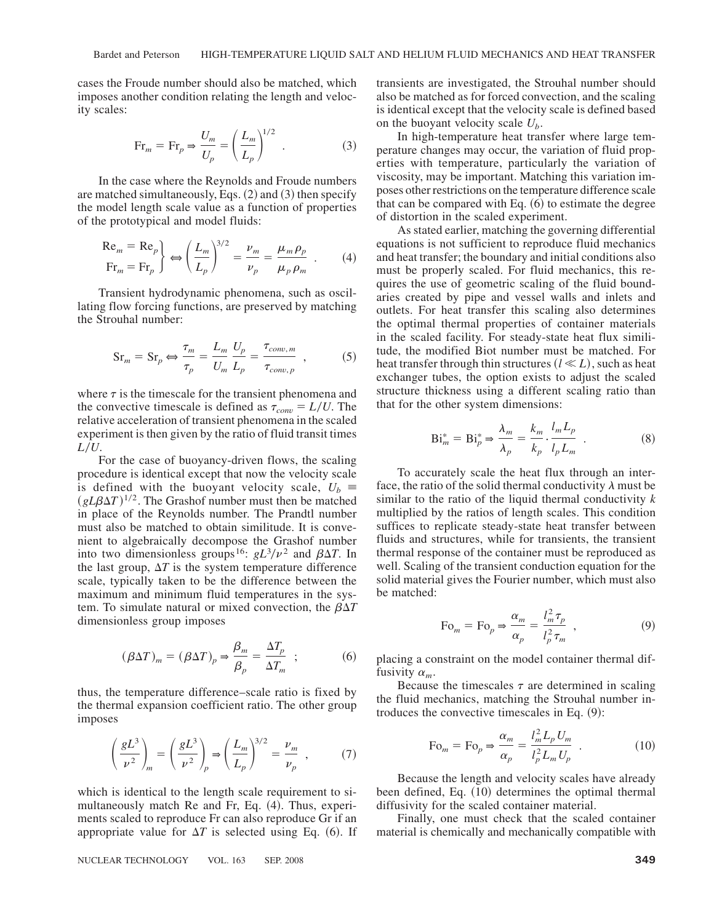cases the Froude number should also be matched, which imposes another condition relating the length and velocity scales:

$$
\text{Fr}_m = \text{Fr}_p \Rightarrow \frac{U_m}{U_p} = \left(\frac{L_m}{L_p}\right)^{1/2} \tag{3}
$$

In the case where the Reynolds and Froude numbers are matched simultaneously, Eqs.  $(2)$  and  $(3)$  then specify the model length scale value as a function of properties of the prototypical and model fluids:

$$
\frac{\text{Re}_m = \text{Re}_p}{\text{Fr}_m = \text{Fr}_p} \leftrightarrow \left(\frac{L_m}{L_p}\right)^{3/2} = \frac{\nu_m}{\nu_p} = \frac{\mu_m \rho_p}{\mu_p \rho_m} \quad . \tag{4}
$$

Transient hydrodynamic phenomena, such as oscillating flow forcing functions, are preserved by matching the Strouhal number:

$$
Sr_m = Sr_p \Leftrightarrow \frac{\tau_m}{\tau_p} = \frac{L_m}{U_m} \frac{U_p}{L_p} = \frac{\tau_{conv,m}}{\tau_{conv,p}} \quad , \tag{5}
$$

where  $\tau$  is the timescale for the transient phenomena and the convective timescale is defined as  $\tau_{conv} = L/U$ . The relative acceleration of transient phenomena in the scaled experiment is then given by the ratio of fluid transit times  $L/U$ .

For the case of buoyancy-driven flows, the scaling procedure is identical except that now the velocity scale is defined with the buoyant velocity scale,  $U_b \equiv$  $(gL\beta\Delta T)^{1/2}$ . The Grashof number must then be matched in place of the Reynolds number. The Prandtl number must also be matched to obtain similitude. It is convenient to algebraically decompose the Grashof number into two dimensionless groups<sup>16</sup>:  $gL^3/\nu^2$  and  $\beta\Delta T$ . In the last group,  $\Delta T$  is the system temperature difference scale, typically taken to be the difference between the maximum and minimum fluid temperatures in the system. To simulate natural or mixed convection, the  $\beta \Delta T$ dimensionless group imposes

$$
(\beta \Delta T)_m = (\beta \Delta T)_p \Rightarrow \frac{\beta_m}{\beta_p} = \frac{\Delta T_p}{\Delta T_m} \quad ; \tag{6}
$$

thus, the temperature difference–scale ratio is fixed by the thermal expansion coefficient ratio. The other group imposes

$$
\left(\frac{gL^3}{\nu^2}\right)_m = \left(\frac{gL^3}{\nu^2}\right)_p \Rightarrow \left(\frac{L_m}{L_p}\right)^{3/2} = \frac{\nu_m}{\nu_p} \quad , \tag{7}
$$

which is identical to the length scale requirement to simultaneously match Re and Fr, Eq.  $(4)$ . Thus, experiments scaled to reproduce Fr can also reproduce Gr if an appropriate value for  $\Delta T$  is selected using Eq. (6). If

NUCLEAR TECHNOLOGY VOL. 163 SEP. 2008 **349**

transients are investigated, the Strouhal number should also be matched as for forced convection, and the scaling is identical except that the velocity scale is defined based on the buoyant velocity scale  $U_b$ .

In high-temperature heat transfer where large temperature changes may occur, the variation of fluid properties with temperature, particularly the variation of viscosity, may be important. Matching this variation imposes other restrictions on the temperature difference scale that can be compared with Eq.  $(6)$  to estimate the degree of distortion in the scaled experiment.

As stated earlier, matching the governing differential equations is not sufficient to reproduce fluid mechanics and heat transfer; the boundary and initial conditions also must be properly scaled. For fluid mechanics, this requires the use of geometric scaling of the fluid boundaries created by pipe and vessel walls and inlets and outlets. For heat transfer this scaling also determines the optimal thermal properties of container materials in the scaled facility. For steady-state heat flux similitude, the modified Biot number must be matched. For heat transfer through thin structures  $(l \ll L)$ , such as heat exchanger tubes, the option exists to adjust the scaled structure thickness using a different scaling ratio than that for the other system dimensions:

$$
Bi_m^* = Bi_p^* \Rightarrow \frac{\lambda_m}{\lambda_p} = \frac{k_m}{k_p} \cdot \frac{l_m L_p}{l_p L_m} \tag{8}
$$

To accurately scale the heat flux through an interface, the ratio of the solid thermal conductivity  $\lambda$  must be similar to the ratio of the liquid thermal conductivity *k* multiplied by the ratios of length scales. This condition suffices to replicate steady-state heat transfer between fluids and structures, while for transients, the transient thermal response of the container must be reproduced as well. Scaling of the transient conduction equation for the solid material gives the Fourier number, which must also be matched:

$$
\text{Fo}_m = \text{Fo}_p \Rightarrow \frac{\alpha_m}{\alpha_p} = \frac{l_m^2 \tau_p}{l_p^2 \tau_m} \tag{9}
$$

placing a constraint on the model container thermal diffusivity  $\alpha_m$ .

Because the timescales  $\tau$  are determined in scaling the fluid mechanics, matching the Strouhal number introduces the convective timescales in Eq.  $(9)$ :

$$
\text{Fo}_m = \text{Fo}_p \Rightarrow \frac{\alpha_m}{\alpha_p} = \frac{l_m^2 L_p U_m}{l_p^2 L_m U_p} \tag{10}
$$

Because the length and velocity scales have already been defined, Eq. (10) determines the optimal thermal diffusivity for the scaled container material.

Finally, one must check that the scaled container material is chemically and mechanically compatible with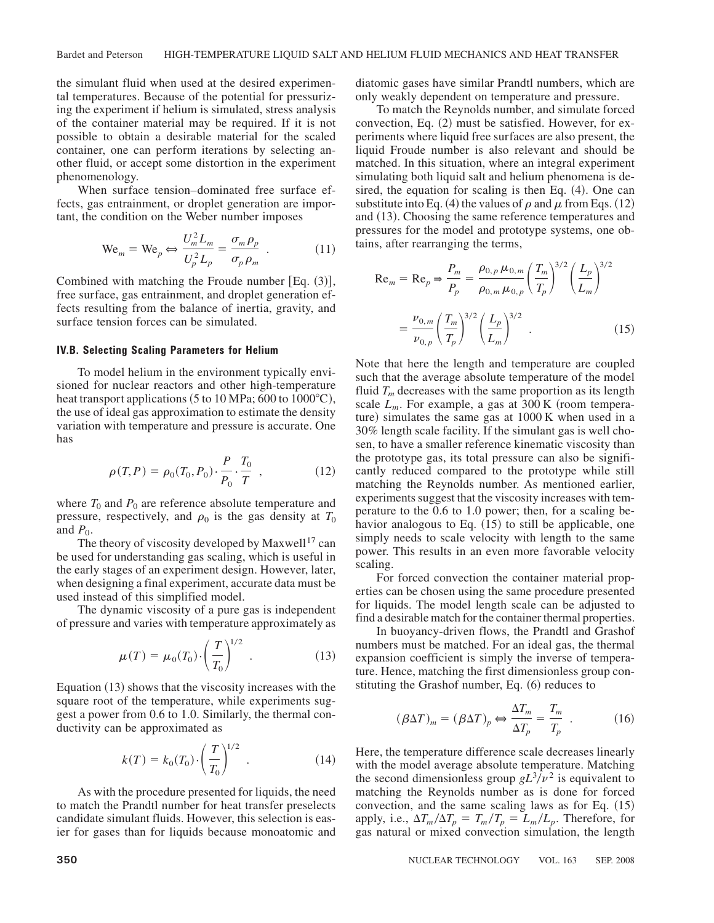the simulant fluid when used at the desired experimental temperatures. Because of the potential for pressurizing the experiment if helium is simulated, stress analysis of the container material may be required. If it is not possible to obtain a desirable material for the scaled container, one can perform iterations by selecting another fluid, or accept some distortion in the experiment phenomenology.

When surface tension–dominated free surface effects, gas entrainment, or droplet generation are important, the condition on the Weber number imposes

$$
\text{We}_m = \text{We}_p \Leftrightarrow \frac{U_m^2 L_m}{U_p^2 L_p} = \frac{\sigma_m \rho_p}{\sigma_p \rho_m} \tag{11}
$$

Combined with matching the Froude number  $[Eq. (3)],$ free surface, gas entrainment, and droplet generation effects resulting from the balance of inertia, gravity, and surface tension forces can be simulated.

#### **IV.B. Selecting Scaling Parameters for Helium**

To model helium in the environment typically envisioned for nuclear reactors and other high-temperature heat transport applications  $(5 \text{ to } 10 \text{ MPa}; 600 \text{ to } 1000^{\circ} \text{C})$ , the use of ideal gas approximation to estimate the density variation with temperature and pressure is accurate. One has

$$
\rho(T, P) = \rho_0(T_0, P_0) \cdot \frac{P}{P_0} \cdot \frac{T_0}{T} \tag{12}
$$

where  $T_0$  and  $P_0$  are reference absolute temperature and pressure, respectively, and  $\rho_0$  is the gas density at  $T_0$ and  $P_0$ .

The theory of viscosity developed by Maxwell<sup>17</sup> can be used for understanding gas scaling, which is useful in the early stages of an experiment design. However, later, when designing a final experiment, accurate data must be used instead of this simplified model.

The dynamic viscosity of a pure gas is independent of pressure and varies with temperature approximately as

$$
\mu(T) = \mu_0(T_0) \cdot \left(\frac{T}{T_0}\right)^{1/2} . \tag{13}
$$

Equation  $(13)$  shows that the viscosity increases with the square root of the temperature, while experiments suggest a power from 0.6 to 1.0. Similarly, the thermal conductivity can be approximated as

$$
k(T) = k_0(T_0) \cdot \left(\frac{T}{T_0}\right)^{1/2} . \tag{14}
$$

As with the procedure presented for liquids, the need to match the Prandtl number for heat transfer preselects candidate simulant fluids. However, this selection is easier for gases than for liquids because monoatomic and diatomic gases have similar Prandtl numbers, which are only weakly dependent on temperature and pressure.

To match the Reynolds number, and simulate forced convection, Eq.  $(2)$  must be satisfied. However, for experiments where liquid free surfaces are also present, the liquid Froude number is also relevant and should be matched. In this situation, where an integral experiment simulating both liquid salt and helium phenomena is desired, the equation for scaling is then Eq.  $(4)$ . One can substitute into Eq. (4) the values of  $\rho$  and  $\mu$  from Eqs. (12) and  $(13)$ . Choosing the same reference temperatures and pressures for the model and prototype systems, one obtains, after rearranging the terms,

$$
\text{Re}_m = \text{Re}_p \Rightarrow \frac{P_m}{P_p} = \frac{\rho_{0,p} \mu_{0,m}}{\rho_{0,m} \mu_{0,p}} \left(\frac{T_m}{T_p}\right)^{3/2} \left(\frac{L_p}{L_m}\right)^{3/2}
$$

$$
= \frac{\nu_{0,m}}{\nu_{0,p}} \left(\frac{T_m}{T_p}\right)^{3/2} \left(\frac{L_p}{L_m}\right)^{3/2} . \tag{15}
$$

Note that here the length and temperature are coupled such that the average absolute temperature of the model fluid  $T_m$  decreases with the same proportion as its length scale  $L_m$ . For example, a gas at 300 K (room temperature) simulates the same gas at  $1000 \text{ K}$  when used in a 30% length scale facility. If the simulant gas is well chosen, to have a smaller reference kinematic viscosity than the prototype gas, its total pressure can also be significantly reduced compared to the prototype while still matching the Reynolds number. As mentioned earlier, experiments suggest that the viscosity increases with temperature to the 0.6 to 1.0 power; then, for a scaling behavior analogous to Eq.  $(15)$  to still be applicable, one simply needs to scale velocity with length to the same power. This results in an even more favorable velocity scaling.

For forced convection the container material properties can be chosen using the same procedure presented for liquids. The model length scale can be adjusted to find a desirable match for the container thermal properties.

In buoyancy-driven flows, the Prandtl and Grashof numbers must be matched. For an ideal gas, the thermal expansion coefficient is simply the inverse of temperature. Hence, matching the first dimensionless group constituting the Grashof number, Eq.  $(6)$  reduces to

$$
(\beta \Delta T)_m = (\beta \Delta T)_p \Leftrightarrow \frac{\Delta T_m}{\Delta T_p} = \frac{T_m}{T_p} \tag{16}
$$

Here, the temperature difference scale decreases linearly with the model average absolute temperature. Matching the second dimensionless group  $gL^3/\nu^2$  is equivalent to matching the Reynolds number as is done for forced convection, and the same scaling laws as for Eq.  $(15)$ apply, i.e.,  $\Delta T_m / \Delta T_p = T_m / T_p = L_m / L_p$ . Therefore, for gas natural or mixed convection simulation, the length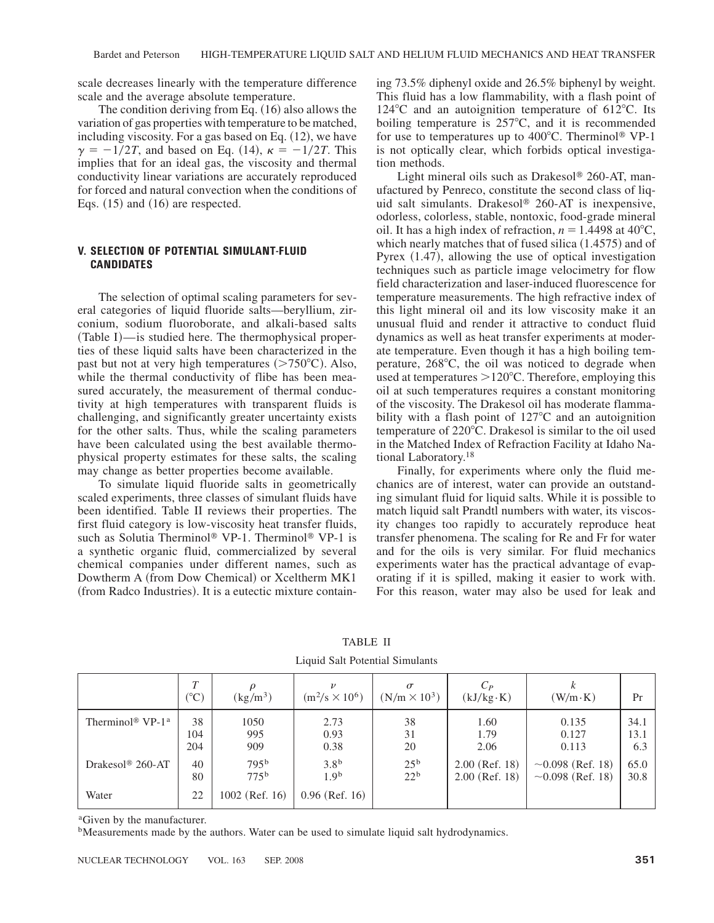scale decreases linearly with the temperature difference scale and the average absolute temperature.

The condition deriving from Eq.  $(16)$  also allows the variation of gas properties with temperature to be matched, including viscosity. For a gas based on Eq.  $(12)$ , we have  $\gamma = -1/2T$ , and based on Eq. (14),  $\kappa = -1/2T$ . This implies that for an ideal gas, the viscosity and thermal conductivity linear variations are accurately reproduced for forced and natural convection when the conditions of Eqs.  $(15)$  and  $(16)$  are respected.

# **V. SELECTION OF POTENTIAL SIMULANT-FLUID CANDIDATES**

The selection of optimal scaling parameters for several categories of liquid fluoride salts—beryllium, zirconium, sodium fluoroborate, and alkali-based salts  $(Table I)$ —is studied here. The thermophysical properties of these liquid salts have been characterized in the past but not at very high temperatures  $(>750^{\circ}C)$ . Also, while the thermal conductivity of flibe has been measured accurately, the measurement of thermal conductivity at high temperatures with transparent fluids is challenging, and significantly greater uncertainty exists for the other salts. Thus, while the scaling parameters have been calculated using the best available thermophysical property estimates for these salts, the scaling may change as better properties become available.

To simulate liquid fluoride salts in geometrically scaled experiments, three classes of simulant fluids have been identified. Table II reviews their properties. The first fluid category is low-viscosity heat transfer fluids, such as Solutia Therminol<sup>®</sup> VP-1. Therminol<sup>®</sup> VP-1 is a synthetic organic fluid, commercialized by several chemical companies under different names, such as Dowtherm A (from Dow Chemical) or Xceltherm MK1 (from Radco Industries). It is a eutectic mixture containing 73.5% diphenyl oxide and 26.5% biphenyl by weight. This fluid has a low flammability, with a flash point of  $124^{\circ}$ C and an autoignition temperature of 612 $^{\circ}$ C. Its boiling temperature is  $257^{\circ}$ C, and it is recommended for use to temperatures up to  $400^{\circ}$ C. Therminol<sup>®</sup> VP-1 is not optically clear, which forbids optical investigation methods.

Light mineral oils such as Drakesol® 260-AT, manufactured by Penreco, constitute the second class of liquid salt simulants. Drakesol<sup>®</sup> 260-AT is inexpensive, odorless, colorless, stable, nontoxic, food-grade mineral oil. It has a high index of refraction,  $n = 1.4498$  at 40<sup>o</sup>C, which nearly matches that of fused silica  $(1.4575)$  and of Pyrex  $(1.47)$ , allowing the use of optical investigation techniques such as particle image velocimetry for flow field characterization and laser-induced fluorescence for temperature measurements. The high refractive index of this light mineral oil and its low viscosity make it an unusual fluid and render it attractive to conduct fluid dynamics as well as heat transfer experiments at moderate temperature. Even though it has a high boiling temperature, 268°C, the oil was noticed to degrade when used at temperatures  $>120^{\circ}$ C. Therefore, employing this oil at such temperatures requires a constant monitoring of the viscosity. The Drakesol oil has moderate flammability with a flash point of  $127^{\circ}$ C and an autoignition temperature of  $220^{\circ}$ C. Drakesol is similar to the oil used in the Matched Index of Refraction Facility at Idaho National Laboratory.18

Finally, for experiments where only the fluid mechanics are of interest, water can provide an outstanding simulant fluid for liquid salts. While it is possible to match liquid salt Prandtl numbers with water, its viscosity changes too rapidly to accurately reproduce heat transfer phenomena. The scaling for Re and Fr for water and for the oils is very similar. For fluid mechanics experiments water has the practical advantage of evaporating if it is spilled, making it easier to work with. For this reason, water may also be used for leak and

|                                          | T<br>$\rm ^{(o}C)$ | $\left(\frac{\text{kg}}{\text{m}^3}\right)$ | $\boldsymbol{\nu}$<br>$(m^2/s \times 10^6)$ | $\sigma$<br>$(N/m \times 10^3)$ | $C_P$<br>$(kJ/kg \cdot K)$ | $(W/m \cdot K)$        | Pr   |
|------------------------------------------|--------------------|---------------------------------------------|---------------------------------------------|---------------------------------|----------------------------|------------------------|------|
| Therminol <sup>®</sup> VP-1 <sup>a</sup> | 38                 | 1050                                        | 2.73                                        | 38                              | 1.60                       | 0.135                  | 34.1 |
|                                          | 104                | 995                                         | 0.93                                        | 31                              | 1.79                       | 0.127                  | 13.1 |
|                                          | 204                | 909                                         | 0.38                                        | 20                              | 2.06                       | 0.113                  | 6.3  |
| Drakesol <sup>®</sup> 260-AT             | 40                 | 795 <sup>b</sup>                            | 3.8 <sup>b</sup>                            | 25 <sup>b</sup>                 | $2.00$ (Ref. 18)           | $\sim 0.098$ (Ref. 18) | 65.0 |
|                                          | 80                 | 775 <sup>b</sup>                            | 1.9 <sup>b</sup>                            | 22 <sup>b</sup>                 | $2.00$ (Ref. 18)           | $\sim 0.098$ (Ref. 18) | 30.8 |
| Water                                    | 22                 | 1002 (Ref. 16)                              | $0.96$ (Ref. 16)                            |                                 |                            |                        |      |

TABLE II Liquid Salt Potential Simulants

<sup>a</sup>Given by the manufacturer.

<sup>b</sup>Measurements made by the authors. Water can be used to simulate liquid salt hydrodynamics.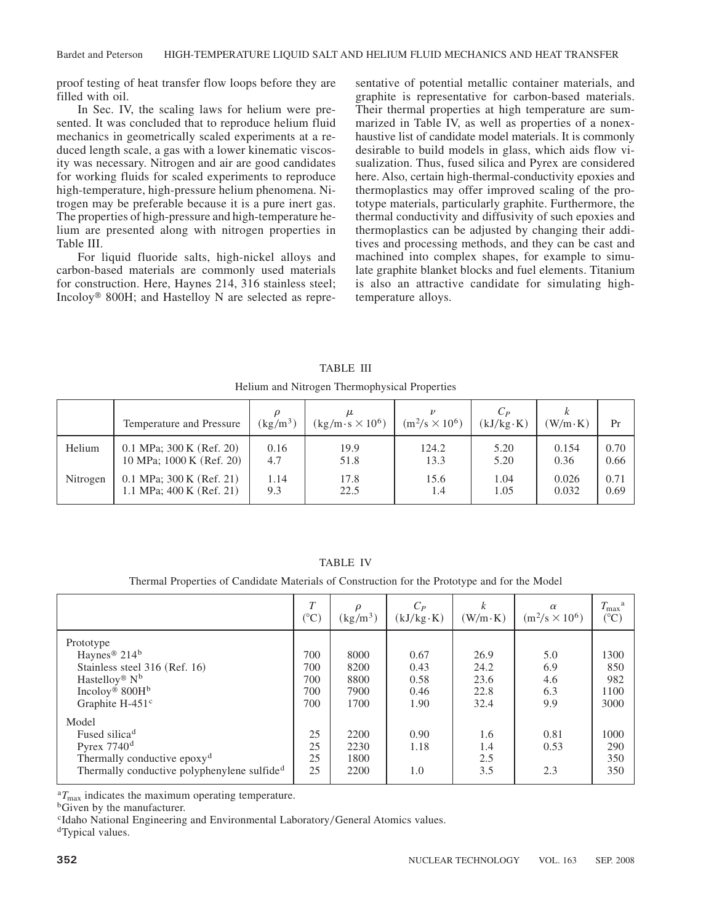proof testing of heat transfer flow loops before they are filled with oil.

In Sec. IV, the scaling laws for helium were presented. It was concluded that to reproduce helium fluid mechanics in geometrically scaled experiments at a reduced length scale, a gas with a lower kinematic viscosity was necessary. Nitrogen and air are good candidates for working fluids for scaled experiments to reproduce high-temperature, high-pressure helium phenomena. Nitrogen may be preferable because it is a pure inert gas. The properties of high-pressure and high-temperature helium are presented along with nitrogen properties in Table III.

For liquid fluoride salts, high-nickel alloys and carbon-based materials are commonly used materials for construction. Here, Haynes 214, 316 stainless steel; Incoloy<sup>®</sup> 800H; and Hastelloy N are selected as representative of potential metallic container materials, and graphite is representative for carbon-based materials. Their thermal properties at high temperature are summarized in Table IV, as well as properties of a nonexhaustive list of candidate model materials. It is commonly desirable to build models in glass, which aids flow visualization. Thus, fused silica and Pyrex are considered here. Also, certain high-thermal-conductivity epoxies and thermoplastics may offer improved scaling of the prototype materials, particularly graphite. Furthermore, the thermal conductivity and diffusivity of such epoxies and thermoplastics can be adjusted by changing their additives and processing methods, and they can be cast and machined into complex shapes, for example to simulate graphite blanket blocks and fuel elements. Titanium is also an attractive candidate for simulating hightemperature alloys.

TABLE III Helium and Nitrogen Thermophysical Properties

|          | Temperature and Pressure   | $\left(\frac{\text{kg}}{\text{m}^3}\right)$ | $\left(\frac{kg}{m \cdot s} \times 10^6\right)$ | $(m^2/s \times 10^6)$ | $C_P$<br>$(kJ/kg \cdot K)$ | k<br>$(W/m \cdot K)$ | Pr   |
|----------|----------------------------|---------------------------------------------|-------------------------------------------------|-----------------------|----------------------------|----------------------|------|
| Helium   | $0.1$ MPa; 300 K (Ref. 20) | 0.16                                        | 19.9                                            | 124.2                 | 5.20                       | 0.154                | 0.70 |
|          | 10 MPa; 1000 K (Ref. 20)   | 4.7                                         | 51.8                                            | 13.3                  | 5.20                       | 0.36                 | 0.66 |
| Nitrogen | $0.1$ MPa; 300 K (Ref. 21) | 1.14                                        | 17.8                                            | 15.6                  | 1.04                       | 0.026                | 0.71 |
|          | 1.1 MPa; $400 K$ (Ref. 21) | 9.3                                         | 22.5                                            | 1.4                   | 1.05                       | 0.032                | 0.69 |

TABLE IV

Thermal Properties of Candidate Materials of Construction for the Prototype and for the Model

|                                                                                                                                                                                            | T<br>$(^{\circ}C)$              | ρ<br>$\left(\frac{kg}{m^3}\right)$   | $C_P$<br>$(kJ/kg \cdot K)$   | $(W/m \cdot K)$                  | $\alpha$<br>$(m^2/s \times 10^6)$ | $T_{\rm max}$ <sup>a</sup><br>$(^\circ C)$ |
|--------------------------------------------------------------------------------------------------------------------------------------------------------------------------------------------|---------------------------------|--------------------------------------|------------------------------|----------------------------------|-----------------------------------|--------------------------------------------|
| Prototype<br>Haynes <sup>®</sup> 214 <sup>b</sup><br>Stainless steel 316 (Ref. 16)<br>Hastelloy <sup>®</sup> $N^b$<br>Incoloy <sup>®</sup> 800H <sup>b</sup>                               | 700<br>700<br>700<br>700<br>700 | 8000<br>8200<br>8800<br>7900         | 0.67<br>0.43<br>0.58<br>0.46 | 26.9<br>24.2<br>23.6<br>22.8     | 5.0<br>6.9<br>4.6<br>6.3          | 1300<br>850<br>982<br>1100                 |
| Graphite $H-451c$<br>Model<br>Fused silica <sup>d</sup><br>Pyrex $7740$ <sup>d</sup><br>Thermally conductive epoxy <sup>d</sup><br>Thermally conductive polyphenylene sulfide <sup>d</sup> | 25<br>25<br>25<br>25            | 1700<br>2200<br>2230<br>1800<br>2200 | 1.90<br>0.90<br>1.18<br>1.0  | 32.4<br>1.6<br>1.4<br>2.5<br>3.5 | 9.9<br>0.81<br>0.53<br>2.3        | 3000<br>1000<br>290<br>350<br>350          |

<sup>a</sup>T<sub>max</sub> indicates the maximum operating temperature.<br><sup>b</sup>Given by the manufacturer.

<sup>c</sup>Idaho National Engineering and Environmental Laboratory/General Atomics values. dTypical values.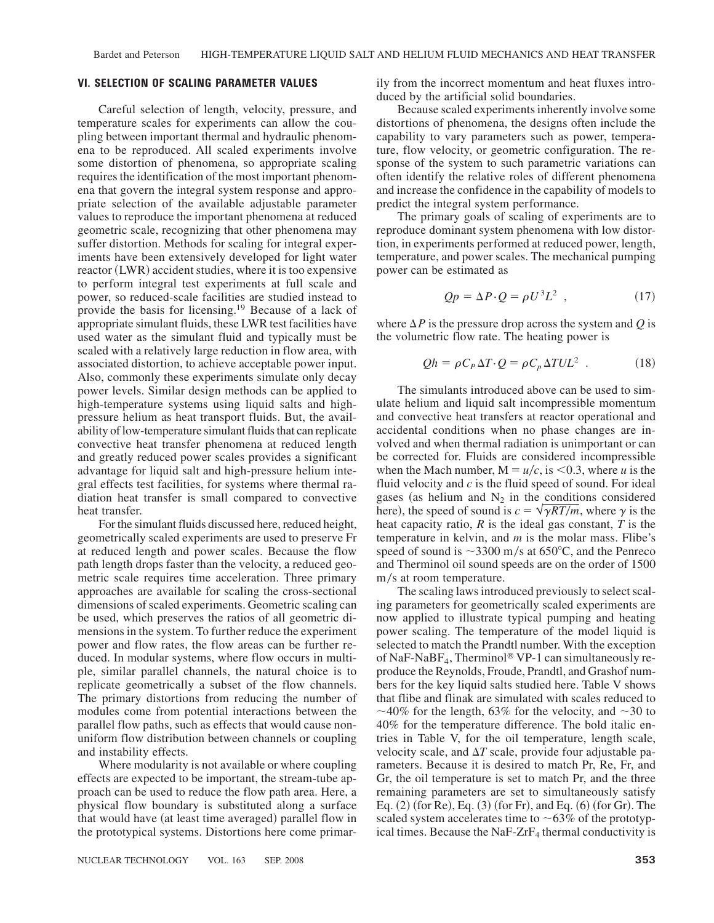## **VI. SELECTION OF SCALING PARAMETER VALUES**

Careful selection of length, velocity, pressure, and temperature scales for experiments can allow the coupling between important thermal and hydraulic phenomena to be reproduced. All scaled experiments involve some distortion of phenomena, so appropriate scaling requires the identification of the most important phenomena that govern the integral system response and appropriate selection of the available adjustable parameter values to reproduce the important phenomena at reduced geometric scale, recognizing that other phenomena may suffer distortion. Methods for scaling for integral experiments have been extensively developed for light water reactor (LWR) accident studies, where it is too expensive to perform integral test experiments at full scale and power, so reduced-scale facilities are studied instead to provide the basis for licensing.19 Because of a lack of appropriate simulant fluids, these LWR test facilities have used water as the simulant fluid and typically must be scaled with a relatively large reduction in flow area, with associated distortion, to achieve acceptable power input. Also, commonly these experiments simulate only decay power levels. Similar design methods can be applied to high-temperature systems using liquid salts and highpressure helium as heat transport fluids. But, the availability of low-temperature simulant fluids that can replicate convective heat transfer phenomena at reduced length and greatly reduced power scales provides a significant advantage for liquid salt and high-pressure helium integral effects test facilities, for systems where thermal radiation heat transfer is small compared to convective heat transfer.

For the simulant fluids discussed here, reduced height, geometrically scaled experiments are used to preserve Fr at reduced length and power scales. Because the flow path length drops faster than the velocity, a reduced geometric scale requires time acceleration. Three primary approaches are available for scaling the cross-sectional dimensions of scaled experiments. Geometric scaling can be used, which preserves the ratios of all geometric dimensions in the system. To further reduce the experiment power and flow rates, the flow areas can be further reduced. In modular systems, where flow occurs in multiple, similar parallel channels, the natural choice is to replicate geometrically a subset of the flow channels. The primary distortions from reducing the number of modules come from potential interactions between the parallel flow paths, such as effects that would cause nonuniform flow distribution between channels or coupling and instability effects.

Where modularity is not available or where coupling effects are expected to be important, the stream-tube approach can be used to reduce the flow path area. Here, a physical flow boundary is substituted along a surface that would have (at least time averaged) parallel flow in the prototypical systems. Distortions here come primar-

NUCLEAR TECHNOLOGY VOL. 163 SEP. 2008 **353**

ily from the incorrect momentum and heat fluxes introduced by the artificial solid boundaries.

Because scaled experiments inherently involve some distortions of phenomena, the designs often include the capability to vary parameters such as power, temperature, flow velocity, or geometric configuration. The response of the system to such parametric variations can often identify the relative roles of different phenomena and increase the confidence in the capability of models to predict the integral system performance.

The primary goals of scaling of experiments are to reproduce dominant system phenomena with low distortion, in experiments performed at reduced power, length, temperature, and power scales. The mechanical pumping power can be estimated as

$$
Qp = \Delta P \cdot Q = \rho U^3 L^2 \tag{17}
$$

where  $\Delta P$  is the pressure drop across the system and *Q* is the volumetric flow rate. The heating power is

$$
Qh = \rho C_P \Delta T \cdot Q = \rho C_p \Delta T U L^2 \tag{18}
$$

The simulants introduced above can be used to simulate helium and liquid salt incompressible momentum and convective heat transfers at reactor operational and accidental conditions when no phase changes are involved and when thermal radiation is unimportant or can be corrected for. Fluids are considered incompressible when the Mach number,  $M = u/c$ , is <0.3, where *u* is the fluid velocity and *c* is the fluid speed of sound. For ideal gases (as helium and  $N_2$  in the conditions considered here), the speed of sound is  $c = \sqrt{\gamma RT/m}$ , where  $\gamma$  is the heat capacity ratio, *R* is the ideal gas constant, *T* is the temperature in kelvin, and *m* is the molar mass. Flibe's speed of sound is  $\sim$ 3300 m/s at 650°C, and the Penreco and Therminol oil sound speeds are on the order of 1500  $m/s$  at room temperature.

The scaling laws introduced previously to select scaling parameters for geometrically scaled experiments are now applied to illustrate typical pumping and heating power scaling. The temperature of the model liquid is selected to match the Prandtl number. With the exception of NaF-NaBF<sub>4</sub>, Therminol® VP-1 can simultaneously reproduce the Reynolds, Froude, Prandtl, and Grashof numbers for the key liquid salts studied here. Table V shows that flibe and flinak are simulated with scales reduced to  $\sim$ 40% for the length, 63% for the velocity, and  $\sim$ 30 to 40% for the temperature difference. The bold italic entries in Table V, for the oil temperature, length scale, velocity scale, and  $\Delta T$  scale, provide four adjustable parameters. Because it is desired to match Pr, Re, Fr, and Gr, the oil temperature is set to match Pr, and the three remaining parameters are set to simultaneously satisfy Eq.  $(2)$  (for Re), Eq.  $(3)$  (for Fr), and Eq.  $(6)$  (for Gr). The scaled system accelerates time to  $\sim63\%$  of the prototypical times. Because the NaF-ZrF<sub>4</sub> thermal conductivity is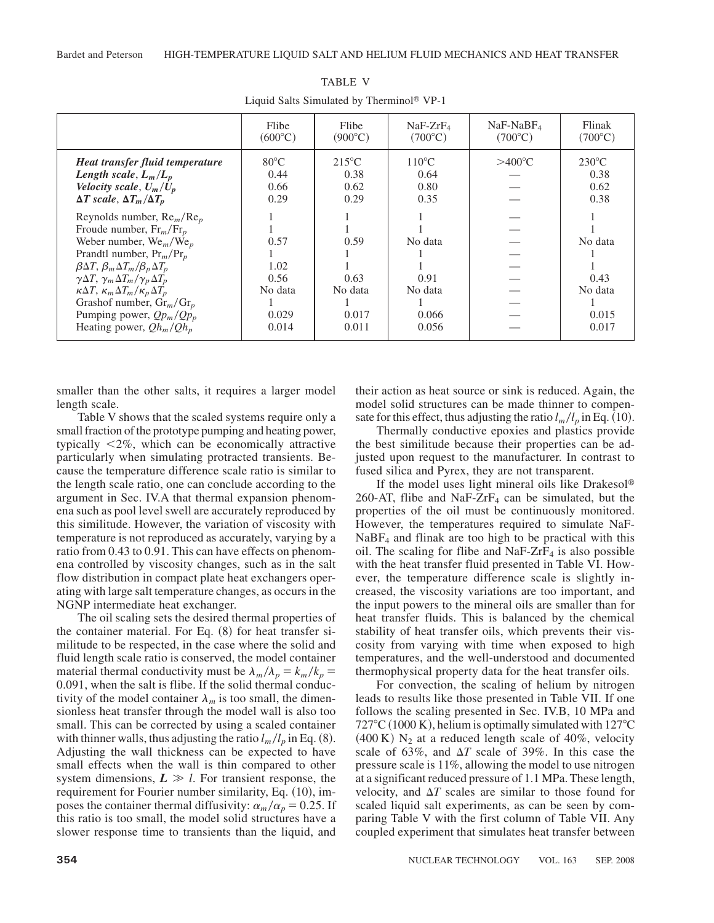|                                                                                                                                                                                                                                                                                                                                                                                                                         | Flibe                                             | Flibe                                     | $NaF-ZrF4$                                   | $NaF-NaBF4$      | Flinak                                       |
|-------------------------------------------------------------------------------------------------------------------------------------------------------------------------------------------------------------------------------------------------------------------------------------------------------------------------------------------------------------------------------------------------------------------------|---------------------------------------------------|-------------------------------------------|----------------------------------------------|------------------|----------------------------------------------|
|                                                                                                                                                                                                                                                                                                                                                                                                                         | $(600^{\circ}C)$                                  | $(900^{\circ}C)$                          | $(700^{\circ}C)$                             | $(700^{\circ}C)$ | $(700^{\circ}C)$                             |
| Heat transfer fluid temperature                                                                                                                                                                                                                                                                                                                                                                                         | $80^{\circ}$ C                                    | $215^{\circ}$ C                           | $110^{\circ}$ C                              | $>400^{\circ}$ C | $230^{\circ}$ C                              |
| Length scale, $L_m/L_p$                                                                                                                                                                                                                                                                                                                                                                                                 | 0.44                                              | 0.38                                      | 0.64                                         |                  | 0.38                                         |
| Velocity scale, $U_m/U_p$                                                                                                                                                                                                                                                                                                                                                                                               | 0.66                                              | 0.62                                      | 0.80                                         |                  | 0.62                                         |
| $\Delta T$ scale, $\Delta T_m/\Delta T_p$                                                                                                                                                                                                                                                                                                                                                                               | 0.29                                              | 0.29                                      | 0.35                                         |                  | 0.38                                         |
| Reynolds number, $Re_m/Re_p$<br>Froude number, $Fr_m/Fr_p$<br>Weber number, $We_m/We_p$<br>Prandtl number, $Pr_m/Pr_p$<br>$\beta \Delta T$ , $\beta_m \Delta T_m / \beta_p \Delta T_p$<br>$\gamma \Delta T$ , $\gamma_m \Delta T_m / \gamma_p \Delta T_p$<br>$\kappa \Delta T$ , $\kappa_m \Delta T_m / \kappa_p \Delta T_p$<br>Grashof number, $Gr_m/Gr_p$<br>Pumping power, $Qp_m/Qp_p$<br>Heating power, $Qh_m/Qh_p$ | 0.57<br>1.02<br>0.56<br>No data<br>0.029<br>0.014 | 0.59<br>0.63<br>No data<br>0.017<br>0.011 | No data<br>0.91<br>No data<br>0.066<br>0.056 |                  | No data<br>0.43<br>No data<br>0.015<br>0.017 |

TABLE V Liquid Salts Simulated by Therminol® VP-1

smaller than the other salts, it requires a larger model length scale.

Table V shows that the scaled systems require only a small fraction of the prototype pumping and heating power, typically  $\langle 2\%, \text{ which can be economically attractive} \rangle$ particularly when simulating protracted transients. Because the temperature difference scale ratio is similar to the length scale ratio, one can conclude according to the argument in Sec. IV.A that thermal expansion phenomena such as pool level swell are accurately reproduced by this similitude. However, the variation of viscosity with temperature is not reproduced as accurately, varying by a ratio from 0.43 to 0.91. This can have effects on phenomena controlled by viscosity changes, such as in the salt flow distribution in compact plate heat exchangers operating with large salt temperature changes, as occurs in the NGNP intermediate heat exchanger.

The oil scaling sets the desired thermal properties of the container material. For Eq.  $(8)$  for heat transfer similitude to be respected, in the case where the solid and fluid length scale ratio is conserved, the model container material thermal conductivity must be  $\lambda_m / \lambda_p = k_m / k_p$ 0.091, when the salt is flibe. If the solid thermal conductivity of the model container  $\lambda_m$  is too small, the dimensionless heat transfer through the model wall is also too small. This can be corrected by using a scaled container with thinner walls, thus adjusting the ratio  $l_m/l_p$  in Eq. (8). Adjusting the wall thickness can be expected to have small effects when the wall is thin compared to other system dimensions,  $L \gg l$ . For transient response, the requirement for Fourier number similarity, Eq.  $(10)$ , imposes the container thermal diffusivity:  $\alpha_m/\alpha_p = 0.25$ . If this ratio is too small, the model solid structures have a slower response time to transients than the liquid, and

their action as heat source or sink is reduced. Again, the model solid structures can be made thinner to compensate for this effect, thus adjusting the ratio  $l_m/l_p$  in Eq. (10).

Thermally conductive epoxies and plastics provide the best similitude because their properties can be adjusted upon request to the manufacturer. In contrast to fused silica and Pyrex, they are not transparent.

If the model uses light mineral oils like Drakesol® 260-AT, flibe and NaF-Zr $F_4$  can be simulated, but the properties of the oil must be continuously monitored. However, the temperatures required to simulate NaF- $NaBF<sub>4</sub>$  and flinak are too high to be practical with this oil. The scaling for flibe and NaF-Zr $F_4$  is also possible with the heat transfer fluid presented in Table VI. However, the temperature difference scale is slightly increased, the viscosity variations are too important, and the input powers to the mineral oils are smaller than for heat transfer fluids. This is balanced by the chemical stability of heat transfer oils, which prevents their viscosity from varying with time when exposed to high temperatures, and the well-understood and documented thermophysical property data for the heat transfer oils.

For convection, the scaling of helium by nitrogen leads to results like those presented in Table VII. If one follows the scaling presented in Sec. IV.B, 10 MPa and  $727^{\circ}$ C (1000 K), helium is optimally simulated with 127 $^{\circ}$ C  $(400 \text{ K})$  N<sub>2</sub> at a reduced length scale of 40%, velocity scale of 63%, and  $\Delta T$  scale of 39%. In this case the pressure scale is 11%, allowing the model to use nitrogen at a significant reduced pressure of 1.1 MPa. These length, velocity, and  $\Delta T$  scales are similar to those found for scaled liquid salt experiments, as can be seen by comparing Table V with the first column of Table VII. Any coupled experiment that simulates heat transfer between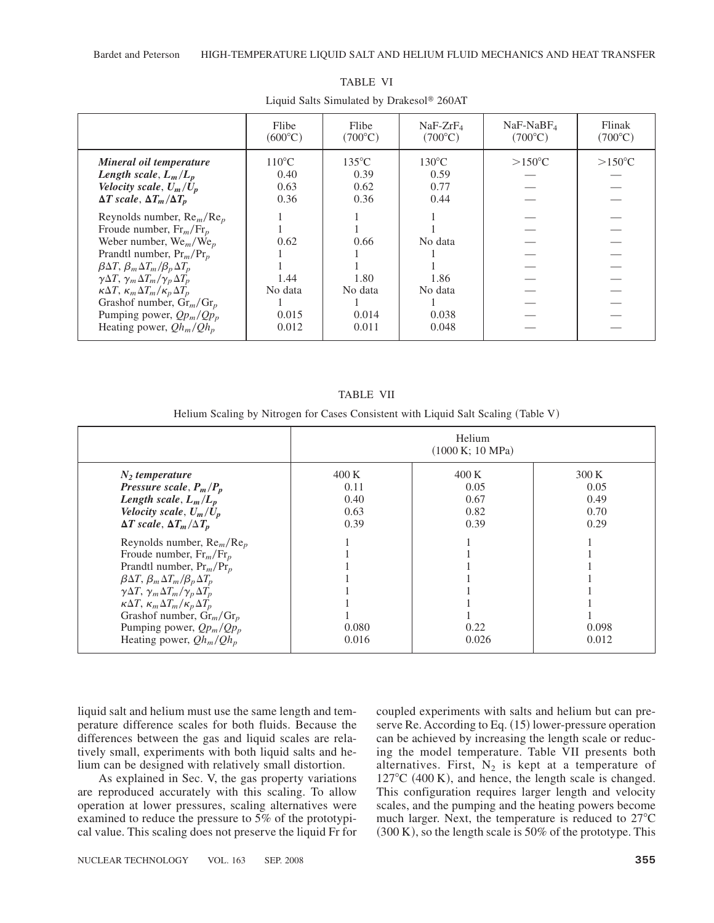|                                                                                                                                                                                                                                                                                                                                                                                                                         | Flibe<br>$(600^{\circ}C)$                 | Flibe<br>$(700^{\circ}C)$                 | $NaF-ZrF4$<br>$(700^{\circ}C)$               | $NaF-NaBF4$<br>$(700^{\circ}C)$ | Flinak<br>$(700^{\circ}C)$ |
|-------------------------------------------------------------------------------------------------------------------------------------------------------------------------------------------------------------------------------------------------------------------------------------------------------------------------------------------------------------------------------------------------------------------------|-------------------------------------------|-------------------------------------------|----------------------------------------------|---------------------------------|----------------------------|
| Mineral oil temperature<br>Length scale, $L_m/L_p$<br>Velocity scale, $U_m/\tilde{U}_p$<br>$\Delta T$ scale, $\Delta T_m/\Delta T_n$                                                                                                                                                                                                                                                                                    | $110^{\circ}$ C<br>0.40<br>0.63<br>0.36   | $135^{\circ}$ C<br>0.39<br>0.62<br>0.36   | $130^{\circ}$ C<br>0.59<br>0.77<br>0.44      | $>150^{\circ}$ C                | $>150^{\circ}$ C           |
| Reynolds number, $Re_m/Re_p$<br>Froude number, $Fr_m/Fr_p$<br>Weber number, $We_m/We_p$<br>Prandtl number, $Pr_m/Pr_p$<br>$\beta \Delta T$ , $\beta_m \Delta T_m / \beta_p \Delta T_p$<br>$\gamma \Delta T$ , $\gamma_m \Delta T_m / \gamma_p \Delta T_p$<br>$\kappa \Delta T$ , $\kappa_m \Delta T_m / \kappa_p \Delta T_p$<br>Grashof number, $Gr_m/Gr_p$<br>Pumping power, $Qp_m/Qp_p$<br>Heating power, $Qh_m/Qh_p$ | 0.62<br>1.44<br>No data<br>0.015<br>0.012 | 0.66<br>1.80<br>No data<br>0.014<br>0.011 | No data<br>1.86<br>No data<br>0.038<br>0.048 |                                 |                            |

TABLE VI Liquid Salts Simulated by Drakesol® 260AT

TABLE VII

Helium Scaling by Nitrogen for Cases Consistent with Liquid Salt Scaling (Table V)

|                                                                 | Helium<br>(1000 K; 10 MPa) |       |       |  |  |  |
|-----------------------------------------------------------------|----------------------------|-------|-------|--|--|--|
| $N_2$ temperature                                               | 400K                       | 400K  | 300K  |  |  |  |
| Pressure scale, $P_m/P_p$                                       | 0.11                       | 0.05  | 0.05  |  |  |  |
| Length scale, $L_m/L_p$                                         | 0.40                       | 0.67  | 0.49  |  |  |  |
| Velocity scale, $U_m/\tilde{U}_p$                               | 0.63                       | 0.82  | 0.70  |  |  |  |
| $\Delta T$ scale, $\Delta T_m/\Delta T_n$                       | 0.39                       | 0.39  | 0.29  |  |  |  |
| Reynolds number, $Re_m/Re_p$                                    |                            |       |       |  |  |  |
| Froude number, $Fr_m/Fr_p$                                      |                            |       |       |  |  |  |
| Prandtl number, $Pr_m/Pr_p$                                     |                            |       |       |  |  |  |
| $\beta \Delta T$ , $\beta_m \Delta T_m / \beta_p \Delta T_p$    |                            |       |       |  |  |  |
| $\gamma \Delta T$ , $\gamma_m \Delta T_m / \gamma_p \Delta T_p$ |                            |       |       |  |  |  |
| $\kappa \Delta T$ , $\kappa_m \Delta T_m / \kappa_p \Delta T_p$ |                            |       |       |  |  |  |
| Grashof number, $Gr_m/Gr_p$                                     |                            |       |       |  |  |  |
| Pumping power, $Qp_m/Qp_p$                                      | 0.080                      | 0.22  | 0.098 |  |  |  |
| Heating power, $Qh_m/Qh_p$                                      | 0.016                      | 0.026 | 0.012 |  |  |  |

liquid salt and helium must use the same length and temperature difference scales for both fluids. Because the differences between the gas and liquid scales are relatively small, experiments with both liquid salts and helium can be designed with relatively small distortion.

As explained in Sec. V, the gas property variations are reproduced accurately with this scaling. To allow operation at lower pressures, scaling alternatives were examined to reduce the pressure to 5% of the prototypical value. This scaling does not preserve the liquid Fr for coupled experiments with salts and helium but can preserve Re. According to Eq.  $(15)$  lower-pressure operation can be achieved by increasing the length scale or reducing the model temperature. Table VII presents both alternatives. First,  $N_2$  is kept at a temperature of  $127^{\circ}$ C (400 K), and hence, the length scale is changed. This configuration requires larger length and velocity scales, and the pumping and the heating powers become much larger. Next, the temperature is reduced to  $27^{\circ}$ C  $(300 \text{ K})$ , so the length scale is 50% of the prototype. This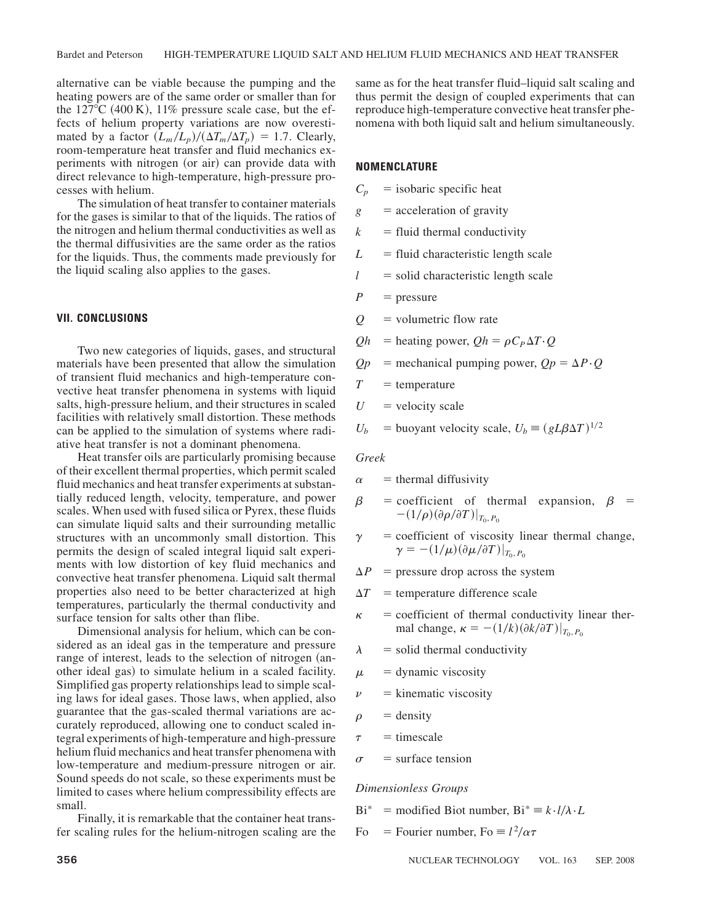alternative can be viable because the pumping and the heating powers are of the same order or smaller than for the  $127^{\circ}$ C (400 K), 11% pressure scale case, but the effects of helium property variations are now overestimated by a factor  $(L_m/L_p)/(\Delta T_m/\Delta T_p) = 1.7$ . Clearly, room-temperature heat transfer and fluid mechanics experiments with nitrogen (or air) can provide data with direct relevance to high-temperature, high-pressure processes with helium.

The simulation of heat transfer to container materials for the gases is similar to that of the liquids. The ratios of the nitrogen and helium thermal conductivities as well as the thermal diffusivities are the same order as the ratios for the liquids. Thus, the comments made previously for the liquid scaling also applies to the gases.

## **VII. CONCLUSIONS**

Two new categories of liquids, gases, and structural materials have been presented that allow the simulation of transient fluid mechanics and high-temperature convective heat transfer phenomena in systems with liquid salts, high-pressure helium, and their structures in scaled facilities with relatively small distortion. These methods can be applied to the simulation of systems where radiative heat transfer is not a dominant phenomena.

Heat transfer oils are particularly promising because of their excellent thermal properties, which permit scaled fluid mechanics and heat transfer experiments at substantially reduced length, velocity, temperature, and power scales. When used with fused silica or Pyrex, these fluids can simulate liquid salts and their surrounding metallic structures with an uncommonly small distortion. This permits the design of scaled integral liquid salt experiments with low distortion of key fluid mechanics and convective heat transfer phenomena. Liquid salt thermal properties also need to be better characterized at high temperatures, particularly the thermal conductivity and surface tension for salts other than flibe.

Dimensional analysis for helium, which can be considered as an ideal gas in the temperature and pressure range of interest, leads to the selection of nitrogen (another ideal gas) to simulate helium in a scaled facility. Simplified gas property relationships lead to simple scaling laws for ideal gases. Those laws, when applied, also guarantee that the gas-scaled thermal variations are accurately reproduced, allowing one to conduct scaled integral experiments of high-temperature and high-pressure helium fluid mechanics and heat transfer phenomena with low-temperature and medium-pressure nitrogen or air. Sound speeds do not scale, so these experiments must be limited to cases where helium compressibility effects are small.

Finally, it is remarkable that the container heat transfer scaling rules for the helium-nitrogen scaling are the same as for the heat transfer fluid–liquid salt scaling and thus permit the design of coupled experiments that can reproduce high-temperature convective heat transfer phenomena with both liquid salt and helium simultaneously.

# **NOMENCLATURE**

- $C_p$  = isobaric specific heat
- $g =$  acceleration of gravity
- $k =$  fluid thermal conductivity
- $L =$  fluid characteristic length scale
- $l$  = solid characteristic length scale
- $P =$ pressure
- $Q =$  volumetric flow rate
- $Qh$  = heating power,  $Qh = \rho C_P \Delta T \cdot Q$
- $Qp$  = mechanical pumping power,  $Qp = \Delta P \cdot Q$
- $T =$  temperature
- $U =$  velocity scale
- $U_b$  = buoyant velocity scale,  $U_b \equiv (gL\beta\Delta T)^{1/2}$

## *Greek*

- $\alpha$  = thermal diffusivity
- $\beta$  = coefficient of thermal expansion,  $\beta$  =  $-(1/\rho)(\partial \rho/\partial T)|_{T_0, P_0}$
- $\gamma$  = coefficient of viscosity linear thermal change,  $\gamma = -(1/\mu)(\partial \mu/\partial T)|_{T_0, P_0}$
- $\Delta P$  = pressure drop across the system
- $\Delta T$  = temperature difference scale
- $\kappa$  = coefficient of thermal conductivity linear thermal change,  $\kappa = -(1/k)(\partial k/\partial T)|_{T_0, P_0}$
- $\lambda$  = solid thermal conductivity
- $\mu$  = dynamic viscosity
- $\nu$  = kinematic viscosity
- $\rho$  = density
- $\tau$  = timescale
- $\sigma$  = surface tension

*Dimensionless Groups*

 $Bi^*$  = modified Biot number,  $Bi^* \equiv k \cdot l/\lambda \cdot L$ 

Fo = Fourier number, Fo  $\equiv l^2/\alpha\tau$